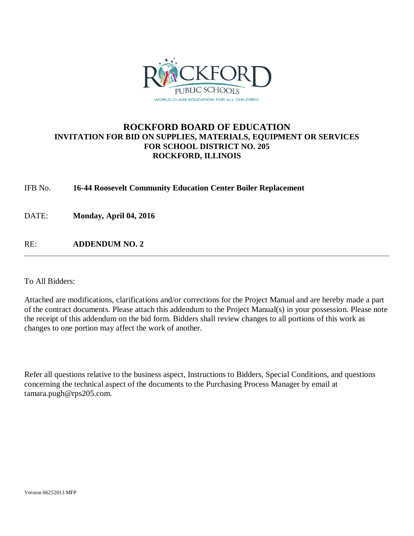

# **ROCKFORD BOARD OF EDUCATION INVITATION FOR BID ON SUPPLIES, MATERIALS, EQUIPMENT OR SERVICES FOR SCHOOL DISTRICT NO. 205 ROCKFORD, ILLINOIS**

IFB No. **16-44 Roosevelt Community Education Center Boiler Replacement**

DATE: **Monday, April 04, 2016**

RE: **ADDENDUM NO. 2**

To All Bidders:

Attached are modifications, clarifications and/or corrections for the Project Manual and are hereby made a part of the contract documents. Please attach this addendum to the Project Manual(s) in your possession. Please note the receipt of this addendum on the bid form. Bidders shall review changes to all portions of this work as changes to one portion may affect the work of another.

Refer all questions relative to the business aspect, Instructions to Bidders, Special Conditions, and questions concerning the technical aspect of the documents to the Purchasing Process Manager by email at tamara.pugh@rps205.com.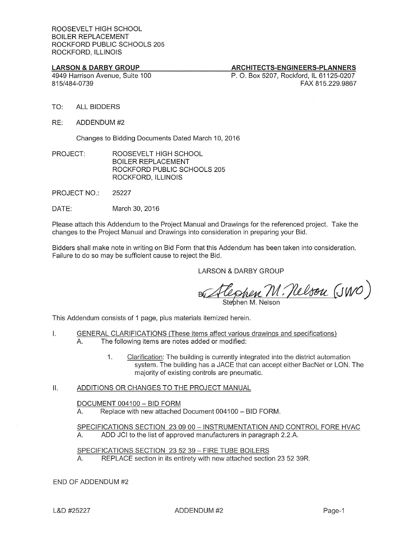### **LARSON & DARBY GROUP**

### ARCHITECTS-ENGINEERS-PLANNERS

4949 Harrison Avenue, Suite 100 815/484-0739

P. O. Box 5207, Rockford, IL 61125-0207 FAX 815,229,9867

- TO: **ALL BIDDERS**
- RE: ADDENDUM #2

Changes to Bidding Documents Dated March 10, 2016

PROJECT: ROOSEVELT HIGH SCHOOL **BOILER REPLACEMENT** ROCKFORD PUBLIC SCHOOLS 205 ROCKFORD, ILLINOIS

**PROJECT NO.:** 25227

DATE: March 30, 2016

Please attach this Addendum to the Project Manual and Drawings for the referenced project. Take the changes to the Project Manual and Drawings into consideration in preparing your Bid.

Bidders shall make note in writing on Bid Form that this Addendum has been taken into consideration. Failure to do so may be sufficient cause to reject the Bid.

**LARSON & DARBY GROUP** 

Ephen M. Nelson (JWO)

Stebhen M. Nels

This Addendum consists of 1 page, plus materials itemized herein.

- $\mathsf{L}$ GENERAL CLARIFICATIONS (These items affect various drawings and specifications) The following items are notes added or modified: А.
	- Clarification: The building is currently integrated into the district automation  $1.$ system. The building has a JACE that can accept either BacNet or LON. The majority of existing controls are pneumatic.
- ΙΙ. ADDITIONS OR CHANGES TO THE PROJECT MANUAL

### DOCUMENT 004100 - BID FORM

A. Replace with new attached Document 004100 - BID FORM.

SPECIFICATIONS SECTION 23 09 00 - INSTRUMENTATION AND CONTROL FORE HVAC  $A_{\cdot}$ ADD JCI to the list of approved manufacturers in paragraph 2.2.A.

SPECIFICATIONS SECTION 23 52 39 - FIRE TUBE BOILERS REPLACE section in its entirety with new attached section 23 52 39R.  $A_{1}$ 

### END OF ADDENDUM #2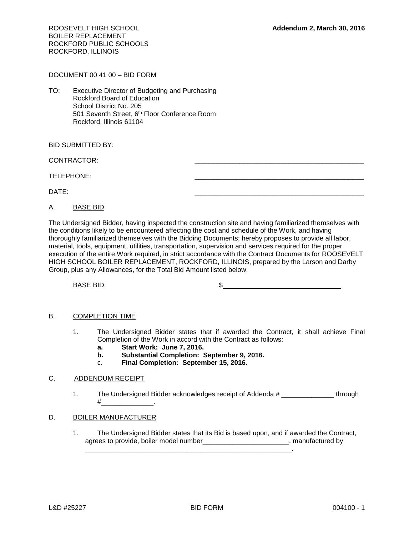ROOSEVELT HIGH SCHOOL **Addendum 2, March 30, 2016** BOILER REPLACEMENT ROCKFORD PUBLIC SCHOOLS ROCKFORD, ILLINOIS

DOCUMENT 00 41 00 – BID FORM

TO: Executive Director of Budgeting and Purchasing Rockford Board of Education School District No. 205 501 Seventh Street, 6<sup>th</sup> Floor Conference Room Rockford, Illinois 61104

BID SUBMITTED BY:

CONTRACTOR:

TELEPHONE:

DATE: \_\_\_\_\_\_\_\_\_\_\_\_\_\_\_\_\_\_\_\_\_\_\_\_\_\_\_\_\_\_\_\_\_\_\_\_\_\_\_\_\_\_\_\_\_

A. BASE BID

The Undersigned Bidder, having inspected the construction site and having familiarized themselves with the conditions likely to be encountered affecting the cost and schedule of the Work, and having thoroughly familiarized themselves with the Bidding Documents; hereby proposes to provide all labor, material, tools, equipment, utilities, transportation, supervision and services required for the proper execution of the entire Work required, in strict accordance with the Contract Documents for ROOSEVELT HIGH SCHOOL BOILER REPLACEMENT, ROCKFORD, ILLINOIS, prepared by the Larson and Darby Group, plus any Allowances, for the Total Bid Amount listed below:

BASE BID: SASSE BID:

### B. COMPLETION TIME

- 1. The Undersigned Bidder states that if awarded the Contract, it shall achieve Final Completion of the Work in accord with the Contract as follows:
	- **a. Start Work: June 7, 2016.**
	- **b. Substantial Completion: September 9, 2016.**

\_\_\_\_\_\_\_\_\_\_\_\_\_\_\_\_\_\_\_\_\_\_\_\_\_\_\_\_\_\_\_\_\_\_\_\_\_\_\_\_\_\_\_\_\_\_\_\_\_\_\_\_\_\_\_.

c. **Final Completion: September 15, 2016**.

### C. ADDENDUM RECEIPT

1. The Undersigned Bidder acknowledges receipt of Addenda # \_\_\_\_\_\_\_\_\_\_\_\_\_ through  $\#$ 

### D. BOILER MANUFACTURER

1. The Undersigned Bidder states that its Bid is based upon, and if awarded the Contract, agrees to provide, boiler model number\_\_\_\_\_\_\_\_\_\_\_\_\_\_\_\_\_\_\_\_\_\_\_\_, manufactured by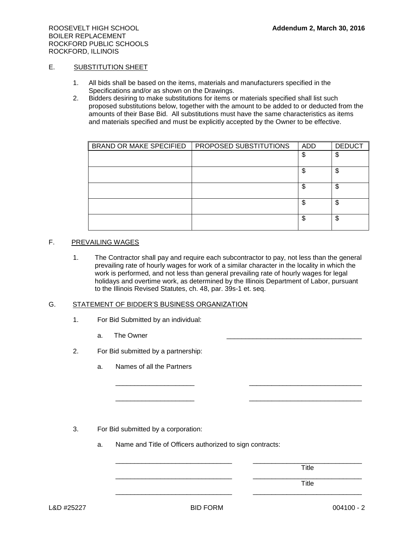### E. SUBSTITUTION SHEET

- 1. All bids shall be based on the items, materials and manufacturers specified in the Specifications and/or as shown on the Drawings.
- 2. Bidders desiring to make substitutions for items or materials specified shall list such proposed substitutions below, together with the amount to be added to or deducted from the amounts of their Base Bid. All substitutions must have the same characteristics as items and materials specified and must be explicitly accepted by the Owner to be effective.

| <b>BRAND OR MAKE SPECIFIED</b> | PROPOSED SUBSTITUTIONS | ADD | <b>DEDUCT</b> |
|--------------------------------|------------------------|-----|---------------|
|                                |                        | \$  | \$            |
|                                |                        | \$  | \$            |
|                                |                        | \$  | \$            |
|                                |                        | S   | \$            |
|                                |                        | \$  | \$            |

# F. PREVAILING WAGES

1. The Contractor shall pay and require each subcontractor to pay, not less than the general prevailing rate of hourly wages for work of a similar character in the locality in which the work is performed, and not less than general prevailing rate of hourly wages for legal holidays and overtime work, as determined by the Illinois Department of Labor, pursuant to the Illinois Revised Statutes, ch. 48, par. 39s-1 et. seq.

\_\_\_\_\_\_\_\_\_\_\_\_\_\_\_\_\_\_\_\_\_ \_\_\_\_\_\_\_\_\_\_\_\_\_\_\_\_\_\_\_\_\_\_\_\_\_\_\_\_\_\_

\_\_\_\_\_\_\_\_\_\_\_\_\_\_\_\_\_\_\_\_\_ \_\_\_\_\_\_\_\_\_\_\_\_\_\_\_\_\_\_\_\_\_\_\_\_\_\_\_\_\_\_

\_\_\_\_\_\_\_\_\_\_\_\_\_\_\_\_\_\_\_\_\_\_\_\_\_\_\_\_\_\_\_ \_\_\_\_\_\_\_\_\_\_\_\_\_\_\_\_\_\_\_\_\_\_\_\_\_\_\_\_\_

### G. STATEMENT OF BIDDER'S BUSINESS ORGANIZATION

- 1. For Bid Submitted by an individual:
	- a. The Owner
- 2. For Bid submitted by a partnership:
	- a. Names of all the Partners

3. For Bid submitted by a corporation:

a. Name and Title of Officers authorized to sign contracts:

\_\_\_\_\_\_\_\_\_\_\_\_\_\_\_\_\_\_\_\_\_\_\_\_\_\_\_\_\_\_\_ \_\_\_\_\_\_\_\_\_\_\_\_\_\_\_\_\_\_\_\_\_\_\_\_\_\_\_\_\_ Title

\_\_\_\_\_\_\_\_\_\_\_\_\_\_\_\_\_\_\_\_\_\_\_\_\_\_\_\_\_\_\_ \_\_\_\_\_\_\_\_\_\_\_\_\_\_\_\_\_\_\_\_\_\_\_\_\_\_\_\_\_ Title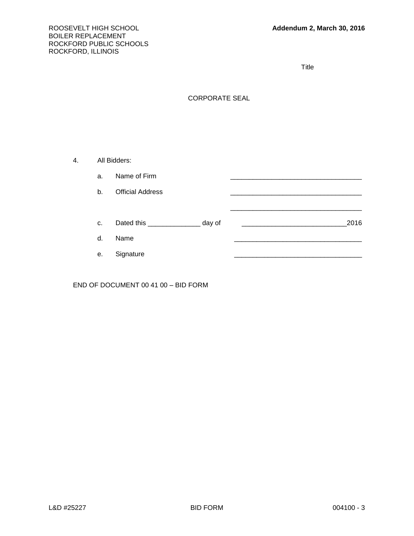Title

## CORPORATE SEAL

4. All Bidders: a. Name of Firm b. Official Address \_\_\_\_\_\_\_\_\_\_\_\_\_\_\_\_\_\_\_\_\_\_\_\_\_\_\_\_\_\_\_\_\_\_\_ \_\_\_\_\_\_\_\_\_\_\_\_\_\_\_\_\_\_\_\_\_\_\_\_\_\_\_\_\_\_\_\_\_\_\_ c. Dated this \_\_\_\_\_\_\_\_\_\_\_\_\_\_ day of \_\_\_\_\_\_\_\_\_\_\_\_\_\_\_\_\_\_\_\_\_\_\_\_\_\_\_\_2016 d. Name \_\_\_\_\_\_\_\_\_\_\_\_\_\_\_\_\_\_\_\_\_\_\_\_\_\_\_\_\_\_\_\_\_\_ e. Signature

END OF DOCUMENT 00 41 00 – BID FORM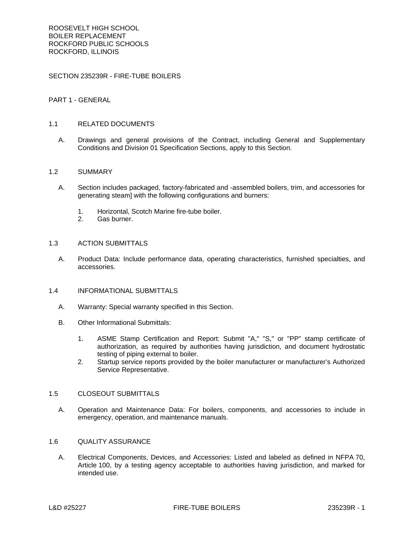SECTION 235239R - FIRE-TUBE BOILERS

### PART 1 - GENERAL

### 1.1 RELATED DOCUMENTS

A. Drawings and general provisions of the Contract, including General and Supplementary Conditions and Division 01 Specification Sections, apply to this Section.

#### 1.2 SUMMARY

- A. Section includes packaged, factory-fabricated and -assembled boilers, trim, and accessories for generating steam] with the following configurations and burners:
	- 1. Horizontal, Scotch Marine fire-tube boiler.
	- 2. Gas burner.

#### 1.3 ACTION SUBMITTALS

A. Product Data: Include performance data, operating characteristics, furnished specialties, and accessories.

### 1.4 INFORMATIONAL SUBMITTALS

- A. Warranty: Special warranty specified in this Section.
- B. Other Informational Submittals:
	- 1. ASME Stamp Certification and Report: Submit "A," "S," or "PP" stamp certificate of authorization, as required by authorities having jurisdiction, and document hydrostatic testing of piping external to boiler.
	- 2. Startup service reports provided by the boiler manufacturer or manufacturer's Authorized Service Representative.

#### 1.5 CLOSEOUT SUBMITTALS

A. Operation and Maintenance Data: For boilers, components, and accessories to include in emergency, operation, and maintenance manuals.

#### 1.6 QUALITY ASSURANCE

A. Electrical Components, Devices, and Accessories: Listed and labeled as defined in NFPA 70, Article 100, by a testing agency acceptable to authorities having jurisdiction, and marked for intended use.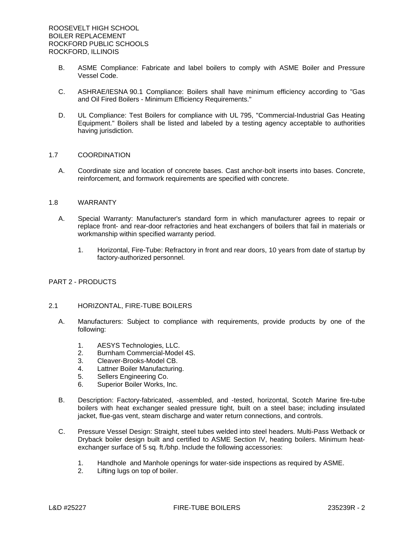- B. ASME Compliance: Fabricate and label boilers to comply with ASME Boiler and Pressure Vessel Code.
- C. ASHRAE/IESNA 90.1 Compliance: Boilers shall have minimum efficiency according to "Gas and Oil Fired Boilers - Minimum Efficiency Requirements."
- D. UL Compliance: Test Boilers for compliance with UL 795, "Commercial-Industrial Gas Heating Equipment." Boilers shall be listed and labeled by a testing agency acceptable to authorities having jurisdiction.

#### 1.7 COORDINATION

A. Coordinate size and location of concrete bases. Cast anchor-bolt inserts into bases. Concrete, reinforcement, and formwork requirements are specified with concrete.

### 1.8 WARRANTY

- A. Special Warranty: Manufacturer's standard form in which manufacturer agrees to repair or replace front- and rear-door refractories and heat exchangers of boilers that fail in materials or workmanship within specified warranty period.
	- 1. Horizontal, Fire-Tube: Refractory in front and rear doors, 10 years from date of startup by factory-authorized personnel.

### PART 2 - PRODUCTS

### 2.1 HORIZONTAL, FIRE-TUBE BOILERS

- A. Manufacturers: Subject to compliance with requirements, provide products by one of the following:
	- 1. AESYS Technologies, LLC.
	- 2. Burnham Commercial-Model 4S.
	- 3. Cleaver-Brooks-Model CB.
	- 4. Lattner Boiler Manufacturing.
	- 5. Sellers Engineering Co.
	- 6. Superior Boiler Works, Inc.
- B. Description: Factory-fabricated, -assembled, and -tested, horizontal, Scotch Marine fire-tube boilers with heat exchanger sealed pressure tight, built on a steel base; including insulated jacket, flue-gas vent, steam discharge and water return connections, and controls.
- C. Pressure Vessel Design: Straight, steel tubes welded into steel headers. Multi-Pass Wetback or Dryback boiler design built and certified to ASME Section IV, heating boilers. Minimum heatexchanger surface of 5 sq. ft./bhp. Include the following accessories:
	- 1. Handhole and Manhole openings for water-side inspections as required by ASME.
	- 2. Lifting lugs on top of boiler.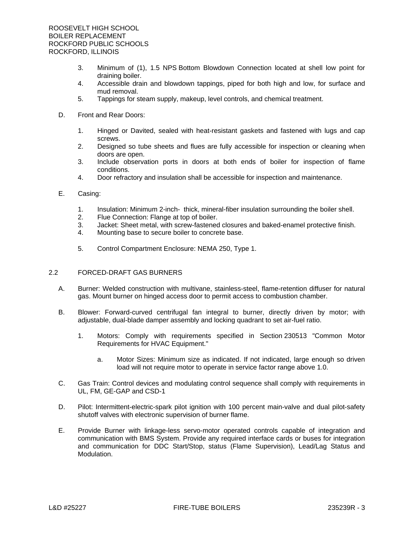- 3. Minimum of (1), 1.5 NPS Bottom Blowdown Connection located at shell low point for draining boiler.
- 4. Accessible drain and blowdown tappings, piped for both high and low, for surface and mud removal.
- 5. Tappings for steam supply, makeup, level controls, and chemical treatment.
- D. Front and Rear Doors:
	- 1. Hinged or Davited, sealed with heat-resistant gaskets and fastened with lugs and cap screws.
	- 2. Designed so tube sheets and flues are fully accessible for inspection or cleaning when doors are open.
	- 3. Include observation ports in doors at both ends of boiler for inspection of flame conditions.
	- 4. Door refractory and insulation shall be accessible for inspection and maintenance.
- E. Casing:
	- 1. Insulation: Minimum 2-inch- thick, mineral-fiber insulation surrounding the boiler shell.
	- 2. Flue Connection: Flange at top of boiler.
	- 3. Jacket: Sheet metal, with screw-fastened closures and baked-enamel protective finish.
	- 4. Mounting base to secure boiler to concrete base.
	- 5. Control Compartment Enclosure: NEMA 250, Type 1.

### 2.2 FORCED-DRAFT GAS BURNERS

- A. Burner: Welded construction with multivane, stainless-steel, flame-retention diffuser for natural gas. Mount burner on hinged access door to permit access to combustion chamber.
- B. Blower: Forward-curved centrifugal fan integral to burner, directly driven by motor; with adjustable, dual-blade damper assembly and locking quadrant to set air-fuel ratio.
	- 1. Motors: Comply with requirements specified in Section 230513 "Common Motor Requirements for HVAC Equipment."
		- a. Motor Sizes: Minimum size as indicated. If not indicated, large enough so driven load will not require motor to operate in service factor range above 1.0.
- C. Gas Train: Control devices and modulating control sequence shall comply with requirements in UL, FM, GE-GAP and CSD-1
- D. Pilot: Intermittent-electric-spark pilot ignition with 100 percent main-valve and dual pilot-safety shutoff valves with electronic supervision of burner flame.
- E. Provide Burner with linkage-less servo-motor operated controls capable of integration and communication with BMS System. Provide any required interface cards or buses for integration and communication for DDC Start/Stop, status (Flame Supervision), Lead/Lag Status and Modulation.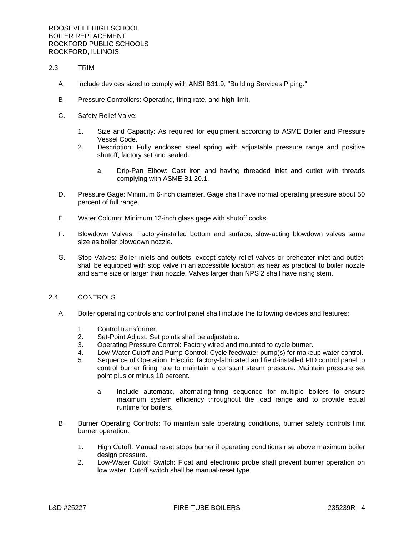- 2.3 TRIM
	- A. Include devices sized to comply with ANSI B31.9, "Building Services Piping."
	- B. Pressure Controllers: Operating, firing rate, and high limit.
	- C. Safety Relief Valve:
		- 1. Size and Capacity: As required for equipment according to ASME Boiler and Pressure Vessel Code.
		- 2. Description: Fully enclosed steel spring with adjustable pressure range and positive shutoff; factory set and sealed.
			- a. Drip-Pan Elbow: Cast iron and having threaded inlet and outlet with threads complying with ASME B1.20.1.
	- D. Pressure Gage: Minimum 6-inch diameter. Gage shall have normal operating pressure about 50 percent of full range.
	- E. Water Column: Minimum 12-inch glass gage with shutoff cocks.
	- F. Blowdown Valves: Factory-installed bottom and surface, slow-acting blowdown valves same size as boiler blowdown nozzle.
	- G. Stop Valves: Boiler inlets and outlets, except safety relief valves or preheater inlet and outlet, shall be equipped with stop valve in an accessible location as near as practical to boiler nozzle and same size or larger than nozzle. Valves larger than NPS 2 shall have rising stem.

### 2.4 CONTROLS

- A. Boiler operating controls and control panel shall include the following devices and features:
	- 1. Control transformer.
	- 2. Set-Point Adjust: Set points shall be adjustable.
	- 3. Operating Pressure Control: Factory wired and mounted to cycle burner.
	- 4. Low-Water Cutoff and Pump Control: Cycle feedwater pump(s) for makeup water control.
	- 5. Sequence of Operation: Electric, factory-fabricated and field-installed PID control panel to control burner firing rate to maintain a constant steam pressure. Maintain pressure set point plus or minus 10 percent.
		- a. Include automatic, alternating-firing sequence for multiple boilers to ensure maximum system efficiency throughout the load range and to provide equal runtime for boilers.
- B. Burner Operating Controls: To maintain safe operating conditions, burner safety controls limit burner operation.
	- 1. High Cutoff: Manual reset stops burner if operating conditions rise above maximum boiler design pressure.
	- 2. Low-Water Cutoff Switch: Float and electronic probe shall prevent burner operation on low water. Cutoff switch shall be manual-reset type.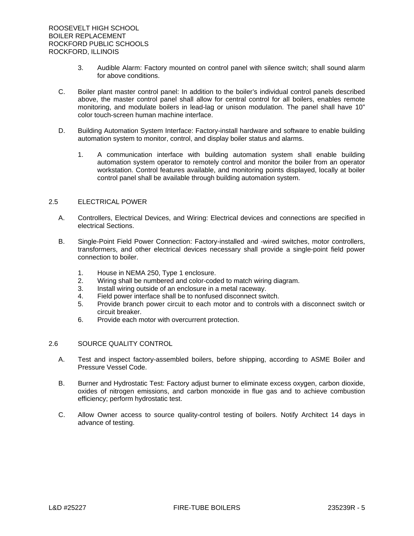- 3. Audible Alarm: Factory mounted on control panel with silence switch; shall sound alarm for above conditions.
- C. Boiler plant master control panel: In addition to the boiler's individual control panels described above, the master control panel shall allow for central control for all boilers, enables remote monitoring, and modulate boilers in lead-lag or unison modulation. The panel shall have 10" color touch-screen human machine interface.
- D. Building Automation System Interface: Factory-install hardware and software to enable building automation system to monitor, control, and display boiler status and alarms.
	- 1. A communication interface with building automation system shall enable building automation system operator to remotely control and monitor the boiler from an operator workstation. Control features available, and monitoring points displayed, locally at boiler control panel shall be available through building automation system.

### 2.5 ELECTRICAL POWER

- A. Controllers, Electrical Devices, and Wiring: Electrical devices and connections are specified in electrical Sections.
- B. Single-Point Field Power Connection: Factory-installed and -wired switches, motor controllers, transformers, and other electrical devices necessary shall provide a single-point field power connection to boiler.
	- 1. House in NEMA 250, Type 1 enclosure.
	- 2. Wiring shall be numbered and color-coded to match wiring diagram.
	- 3. Install wiring outside of an enclosure in a metal raceway.
	- 4. Field power interface shall be to nonfused disconnect switch.
	- 5. Provide branch power circuit to each motor and to controls with a disconnect switch or circuit breaker.
	- 6. Provide each motor with overcurrent protection.

### 2.6 SOURCE QUALITY CONTROL

- A. Test and inspect factory-assembled boilers, before shipping, according to ASME Boiler and Pressure Vessel Code.
- B. Burner and Hydrostatic Test: Factory adjust burner to eliminate excess oxygen, carbon dioxide, oxides of nitrogen emissions, and carbon monoxide in flue gas and to achieve combustion efficiency; perform hydrostatic test.
- C. Allow Owner access to source quality-control testing of boilers. Notify Architect 14 days in advance of testing.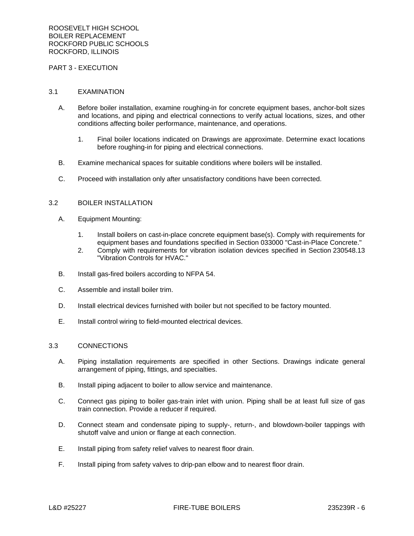### PART 3 - EXECUTION

#### 3.1 EXAMINATION

- A. Before boiler installation, examine roughing-in for concrete equipment bases, anchor-bolt sizes and locations, and piping and electrical connections to verify actual locations, sizes, and other conditions affecting boiler performance, maintenance, and operations.
	- 1. Final boiler locations indicated on Drawings are approximate. Determine exact locations before roughing-in for piping and electrical connections.
- B. Examine mechanical spaces for suitable conditions where boilers will be installed.
- C. Proceed with installation only after unsatisfactory conditions have been corrected.

# 3.2 BOILER INSTALLATION

- A. Equipment Mounting:
	- 1. Install boilers on cast-in-place concrete equipment base(s). Comply with requirements for equipment bases and foundations specified in Section 033000 "Cast-in-Place Concrete."
	- 2. Comply with requirements for vibration isolation devices specified in Section 230548.13 "Vibration Controls for HVAC."
- B. Install gas-fired boilers according to NFPA 54.
- C. Assemble and install boiler trim.
- D. Install electrical devices furnished with boiler but not specified to be factory mounted.
- E. Install control wiring to field-mounted electrical devices.

### 3.3 CONNECTIONS

- A. Piping installation requirements are specified in other Sections. Drawings indicate general arrangement of piping, fittings, and specialties.
- B. Install piping adjacent to boiler to allow service and maintenance.
- C. Connect gas piping to boiler gas-train inlet with union. Piping shall be at least full size of gas train connection. Provide a reducer if required.
- D. Connect steam and condensate piping to supply-, return-, and blowdown-boiler tappings with shutoff valve and union or flange at each connection.
- E. Install piping from safety relief valves to nearest floor drain.
- F. Install piping from safety valves to drip-pan elbow and to nearest floor drain.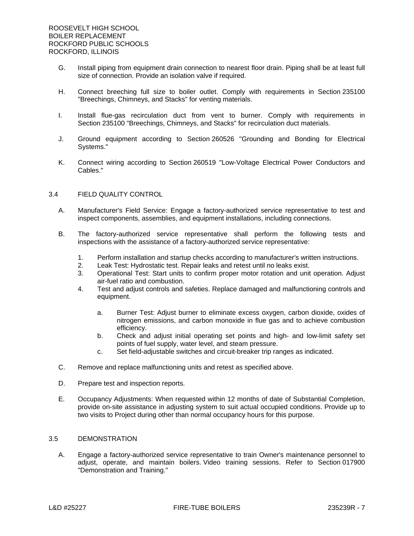- G. Install piping from equipment drain connection to nearest floor drain. Piping shall be at least full size of connection. Provide an isolation valve if required.
- H. Connect breeching full size to boiler outlet. Comply with requirements in Section 235100 "Breechings, Chimneys, and Stacks" for venting materials.
- I. Install flue-gas recirculation duct from vent to burner. Comply with requirements in Section 235100 "Breechings, Chimneys, and Stacks" for recirculation duct materials.
- J. Ground equipment according to Section 260526 "Grounding and Bonding for Electrical Systems."
- K. Connect wiring according to Section 260519 "Low-Voltage Electrical Power Conductors and Cables."

### 3.4 FIELD QUALITY CONTROL

- A. Manufacturer's Field Service: Engage a factory-authorized service representative to test and inspect components, assemblies, and equipment installations, including connections.
- B. The factory-authorized service representative shall perform the following tests and inspections with the assistance of a factory-authorized service representative:
	- 1. Perform installation and startup checks according to manufacturer's written instructions.
	- 2. Leak Test: Hydrostatic test. Repair leaks and retest until no leaks exist.
	- 3. Operational Test: Start units to confirm proper motor rotation and unit operation. Adjust air-fuel ratio and combustion.
	- 4. Test and adjust controls and safeties. Replace damaged and malfunctioning controls and equipment.
		- a. Burner Test: Adjust burner to eliminate excess oxygen, carbon dioxide, oxides of nitrogen emissions, and carbon monoxide in flue gas and to achieve combustion efficiency.
		- b. Check and adjust initial operating set points and high- and low-limit safety set points of fuel supply, water level, and steam pressure.
		- c. Set field-adjustable switches and circuit-breaker trip ranges as indicated.
- C. Remove and replace malfunctioning units and retest as specified above.
- D. Prepare test and inspection reports.
- E. Occupancy Adjustments: When requested within 12 months of date of Substantial Completion, provide on-site assistance in adjusting system to suit actual occupied conditions. Provide up to two visits to Project during other than normal occupancy hours for this purpose.

### 3.5 DEMONSTRATION

A. Engage a factory-authorized service representative to train Owner's maintenance personnel to adjust, operate, and maintain boilers. Video training sessions. Refer to Section 017900 "Demonstration and Training."